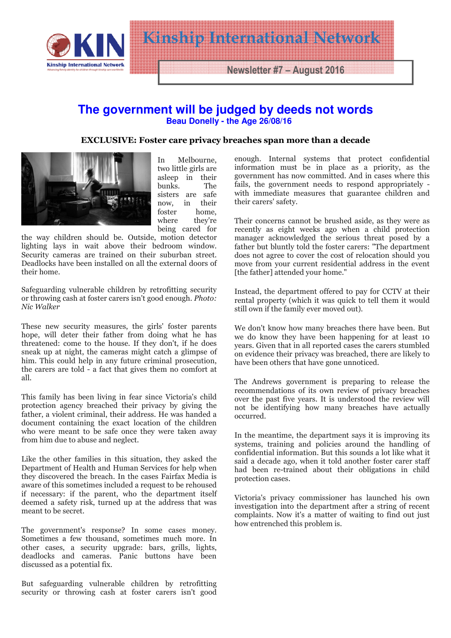

Newsletter #7 – August 2016

Kinship International International

## **The government will be judged by deeds not words Beau Donelly - the Age 26/08/16**

## EXCLUSIVE: Foster care privacy breaches span more than a decade



In Melbourne, two little girls are asleep in their bunks. The sisters are safe now, in their<br>foster home. foster home,<br>where they're they're being cared for

the way children should be. Outside, motion detector lighting lays in wait above their bedroom window. Security cameras are trained on their suburban street. Deadlocks have been installed on all the external doors of their home.

Safeguarding vulnerable children by retrofitting security or throwing cash at foster carers isn't good enough. Photo: Nic Walker

These new security measures, the girls' foster parents hope, will deter their father from doing what he has threatened: come to the house. If they don't, if he does sneak up at night, the cameras might catch a glimpse of him. This could help in any future criminal prosecution, the carers are told - a fact that gives them no comfort at all.

This family has been living in fear since Victoria's child protection agency breached their privacy by giving the father, a violent criminal, their address. He was handed a document containing the exact location of the children who were meant to be safe once they were taken away from him due to abuse and neglect.

Like the other families in this situation, they asked the Department of Health and Human Services for help when they discovered the breach. In the cases Fairfax Media is aware of this sometimes included a request to be rehoused if necessary: if the parent, who the department itself deemed a safety risk, turned up at the address that was meant to be secret.

The government's response? In some cases money. Sometimes a few thousand, sometimes much more. In other cases, a security upgrade: bars, grills, lights, deadlocks and cameras. Panic buttons have been discussed as a potential fix.

But safeguarding vulnerable children by retrofitting security or throwing cash at foster carers isn't good

enough. Internal systems that protect confidential information must be in place as a priority, as the government has now committed. And in cases where this fails, the government needs to respond appropriately with immediate measures that guarantee children and their carers' safety.

Their concerns cannot be brushed aside, as they were as recently as eight weeks ago when a child protection manager acknowledged the serious threat posed by a father but bluntly told the foster carers: "The department does not agree to cover the cost of relocation should you move from your current residential address in the event [the father] attended your home."

Instead, the department offered to pay for CCTV at their rental property (which it was quick to tell them it would still own if the family ever moved out).

We don't know how many breaches there have been. But we do know they have been happening for at least 10 years. Given that in all reported cases the carers stumbled on evidence their privacy was breached, there are likely to have been others that have gone unnoticed.

The Andrews government is preparing to release the recommendations of its own review of privacy breaches over the past five years. It is understood the review will not be identifying how many breaches have actually occurred.

In the meantime, the department says it is improving its systems, training and policies around the handling of confidential information. But this sounds a lot like what it said a decade ago, when it told another foster carer staff had been re-trained about their obligations in child protection cases.

Victoria's privacy commissioner has launched his own investigation into the department after a string of recent complaints. Now it's a matter of waiting to find out just how entrenched this problem is.